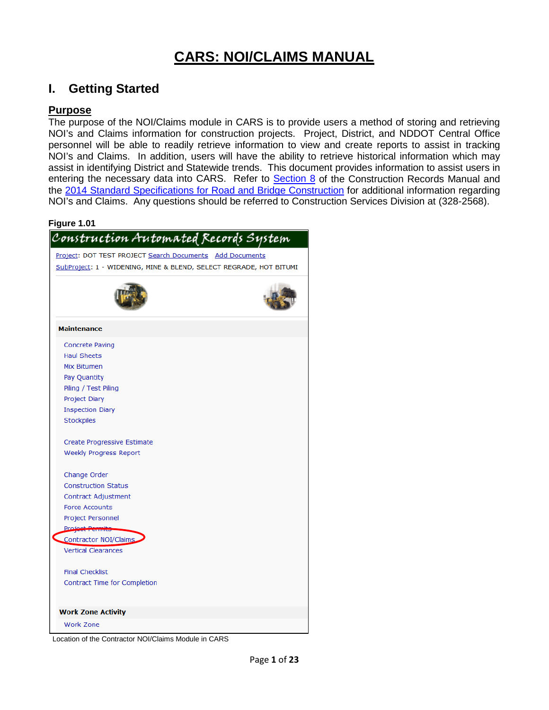# **CARS: NOI/CLAIMS MANUAL**

# **I. Getting Started**

### **Purpose**

The purpose of the NOI/Claims module in CARS is to provide users a method of storing and retrieving NOI's and Claims information for construction projects. Project, District, and NDDOT Central Office personnel will be able to readily retrieve information to view and create reports to assist in tracking NOI's and Claims. In addition, users will have the ability to retrieve historical information which may assist in identifying District and Statewide trends. This document provides information to assist users in entering the necessary data into CARS. Refer to [Section 8](https://www.dot.nd.gov/manuals/construction/constr-records/section8.pdf) of the Construction Records Manual and the [2014 Standard Specifications for Road and Bridge Construction](https://www.dot.nd.gov/divisions/environmental/docs/supspecs/2014StandardSpecifications.pdf) for additional information regarding NOI's and Claims. Any questions should be referred to Construction Services Division at (328-2568).

#### **Figure 1.01**

| Construction Automated Records System                              |  |
|--------------------------------------------------------------------|--|
| Project: DOT TEST PROJECT Search Documents Add Documents           |  |
| SubProject: 1 - WIDENING, MINE & BLEND, SELECT REGRADE, HOT BITUMI |  |
|                                                                    |  |
| <b>Maintenance</b>                                                 |  |
| <b>Concrete Paving</b>                                             |  |
| <b>Haul Sheets</b>                                                 |  |
| Mix Bitumen                                                        |  |
| Pay Quantity                                                       |  |
| Piling / Test Piling                                               |  |
| Project Diary                                                      |  |
| <b>Inspection Diary</b>                                            |  |
| Stockpiles                                                         |  |
| Create Progressive Estimate<br><b>Weekly Progress Report</b>       |  |
| Change Order                                                       |  |
| <b>Construction Status</b>                                         |  |
| <b>Contract Adjustment</b><br><b>Force Accounts</b>                |  |
|                                                                    |  |
| Project Personnel<br><b>Project Permits</b>                        |  |
| Contractor NOI/Claims                                              |  |
| <b>Vertical Clearances</b>                                         |  |
| <b>Final Checklist</b>                                             |  |
| Contract Time for Completion                                       |  |
|                                                                    |  |
| <b>Work Zone Activity</b>                                          |  |
| <b>Work Zone</b>                                                   |  |
|                                                                    |  |

Location of the Contractor NOI/Claims Module in CARS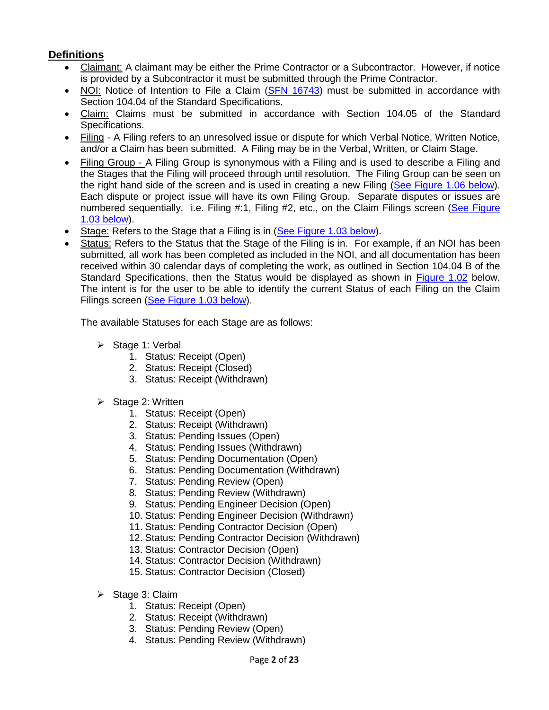# **Definitions**

- Claimant: A claimant may be either the Prime Contractor or a Subcontractor. However, if notice is provided by a Subcontractor it must be submitted through the Prime Contractor.
- NOI: Notice of Intention to File a Claim [\(SFN 16743\)](https://intranetapps.nd.gov/dot/forms/SFN16743.pdf) must be submitted in accordance with Section 104.04 of the Standard Specifications.
- Claim: Claims must be submitted in accordance with Section 104.05 of the Standard Specifications.
- Filing A Filing refers to an unresolved issue or dispute for which Verbal Notice, Written Notice, and/or a Claim has been submitted. A Filing may be in the Verbal, Written, or Claim Stage.
- Filing Group A Filing Group is synonymous with a Filing and is used to describe a Filing and the Stages that the Filing will proceed through until resolution. The Filing Group can be seen on the right hand side of the screen and is used in creating a new Filing [\(See Figure 1.06 below\)](#page-3-0). Each dispute or project issue will have its own Filing Group. Separate disputes or issues are numbered sequentially. i.e. Filing #:1, Filing #2, etc., on the Claim Filings screen (See Figure 1.03 [below\)](#page-2-0).
- Stage: Refers to the Stage that a Filing is in [\(See Figure 1.03](#page-2-0) below).
- Status: Refers to the Status that the Stage of the Filing is in. For example, if an NOI has been submitted, all work has been completed as included in the NOI, and all documentation has been received within 30 calendar days of completing the work, as outlined in Section 104.04 B of the Standard Specifications, then the Status would be displayed as shown in [Figure 1.02](#page-2-1) below. The intent is for the user to be able to identify the current Status of each Filing on the Claim Filings screen [\(See Figure 1.03 below\)](#page-2-0).

The available Statuses for each Stage are as follows:

- $\triangleright$  Stage 1: Verbal
	- 1. Status: Receipt (Open)
	- 2. Status: Receipt (Closed)
	- 3. Status: Receipt (Withdrawn)
- $\triangleright$  Stage 2: Written
	- 1. Status: Receipt (Open)
	- 2. Status: Receipt (Withdrawn)
	- 3. Status: Pending Issues (Open)
	- 4. Status: Pending Issues (Withdrawn)
	- 5. Status: Pending Documentation (Open)
	- 6. Status: Pending Documentation (Withdrawn)
	- 7. Status: Pending Review (Open)
	- 8. Status: Pending Review (Withdrawn)
	- 9. Status: Pending Engineer Decision (Open)
	- 10. Status: Pending Engineer Decision (Withdrawn)
	- 11. Status: Pending Contractor Decision (Open)
	- 12. Status: Pending Contractor Decision (Withdrawn)
	- 13. Status: Contractor Decision (Open)
	- 14. Status: Contractor Decision (Withdrawn)
	- 15. Status: Contractor Decision (Closed)
- $\triangleright$  Stage 3: Claim
	- 1. Status: Receipt (Open)
	- 2. Status: Receipt (Withdrawn)
	- 3. Status: Pending Review (Open)
	- 4. Status: Pending Review (Withdrawn)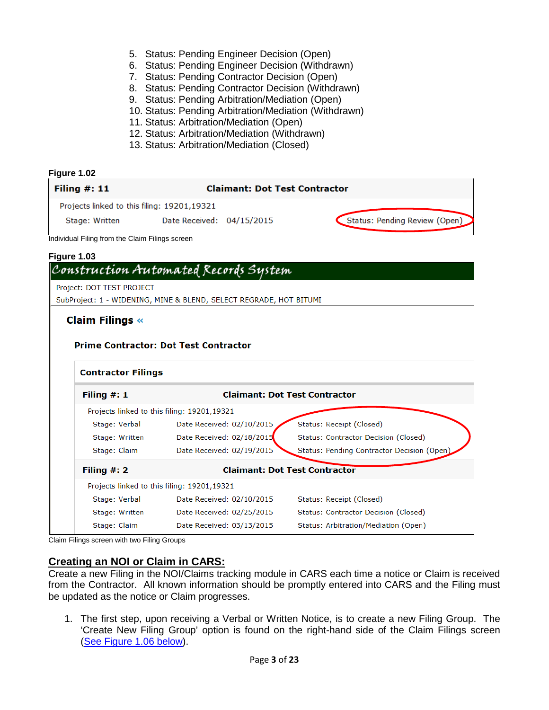- 5. Status: Pending Engineer Decision (Open)
- 6. Status: Pending Engineer Decision (Withdrawn)
- 7. Status: Pending Contractor Decision (Open)
- 8. Status: Pending Contractor Decision (Withdrawn)
- 9. Status: Pending Arbitration/Mediation (Open)
- 10. Status: Pending Arbitration/Mediation (Withdrawn)
- 11. Status: Arbitration/Mediation (Open)
- 12. Status: Arbitration/Mediation (Withdrawn)
- 13. Status: Arbitration/Mediation (Closed)

<span id="page-2-1"></span><span id="page-2-0"></span>

|                                                 | Projects linked to this filing: 19201,19321                        |                                            |
|-------------------------------------------------|--------------------------------------------------------------------|--------------------------------------------|
| Stage: Written                                  | Date Received: 04/15/2015                                          | Status: Pending Review (Open)              |
| Individual Filing from the Claim Filings screen |                                                                    |                                            |
| Figure 1.03                                     |                                                                    |                                            |
|                                                 | Construction Automated Records System                              |                                            |
| Project: DOT TEST PROJECT                       |                                                                    |                                            |
|                                                 | SubProject: 1 - WIDENING, MINE & BLEND, SELECT REGRADE, HOT BITUMI |                                            |
| <b>Claim Filings «</b>                          |                                                                    |                                            |
|                                                 |                                                                    |                                            |
|                                                 |                                                                    |                                            |
|                                                 | <b>Prime Contractor: Dot Test Contractor</b>                       |                                            |
|                                                 |                                                                    |                                            |
|                                                 |                                                                    |                                            |
| <b>Contractor Filings</b>                       |                                                                    |                                            |
| Filing $#: 1$                                   |                                                                    | <b>Claimant: Dot Test Contractor</b>       |
|                                                 | Projects linked to this filing: 19201,19321                        |                                            |
| Stage: Verbal                                   | Date Received: 02/10/2015                                          | Status: Receipt (Closed)                   |
| Stage: Written                                  | Date Received: 02/18/2015                                          | Status: Contractor Decision (Closed)       |
| Stage: Claim                                    | Date Received: 02/19/2015                                          | Status: Pending Contractor Decision (Open) |
| Filing $#: 2$                                   |                                                                    | <b>Claimant: Dot Test Contractor</b>       |
|                                                 | Projects linked to this filing: 19201,19321                        |                                            |
| Stage: Verbal                                   | Date Received: 02/10/2015                                          | Status: Receipt (Closed)                   |
| Stage: Written                                  | Date Received: 02/25/2015                                          | Status: Contractor Decision (Closed)       |
| Stage: Claim                                    | Date Received: 03/13/2015                                          | Status: Arbitration/Mediation (Open)       |

Claim Filings screen with two Filing Groups

# **Creating an NOI or Claim in CARS:**

Create a new Filing in the NOI/Claims tracking module in CARS each time a notice or Claim is received from the Contractor. All known information should be promptly entered into CARS and the Filing must be updated as the notice or Claim progresses.

1. The first step, upon receiving a Verbal or Written Notice, is to create a new Filing Group. The 'Create New Filing Group' option is found on the right-hand side of the Claim Filings screen (See [Figure 1.06 below\)](#page-3-0).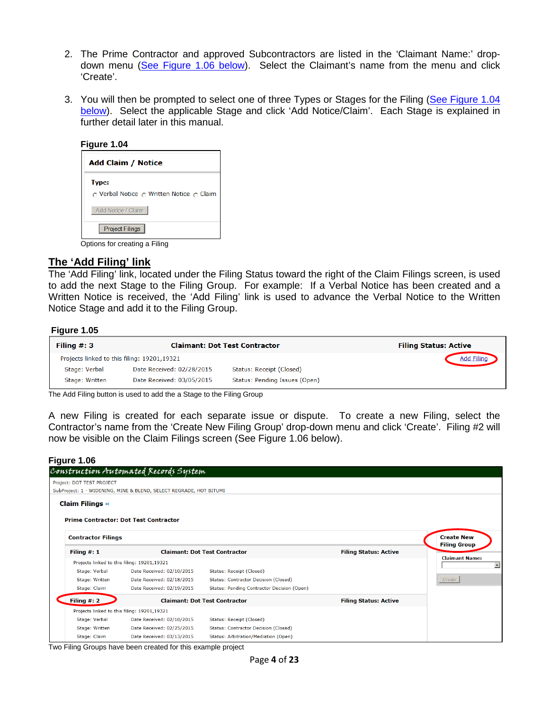- 2. The Prime Contractor and approved Subcontractors are listed in the 'Claimant Name:' dropdown menu [\(See Figure 1.06 below\)](#page-3-0). Select the Claimant's name from the menu and click 'Create'.
- 3. You will then be prompted to select one of three Types or Stages for the Filing (See [Figure 1.04](#page-3-1)  [below\)](#page-3-1). Select the applicable Stage and click 'Add Notice/Claim'. Each Stage is explained in further detail later in this manual.

<span id="page-3-1"></span>

| <b>Add Claim / Notice</b>                                |
|----------------------------------------------------------|
| <b>Type:</b><br>∩ Verbal Notice ∩ Written Notice ∩ Claim |
| <b>Add Notice / Claim</b>                                |
| Project Filings                                          |
| Options for creating a Filing                            |

### **The 'Add Filing' link**

The 'Add Filing' link, located under the Filing Status toward the right of the Claim Filings screen, is used to add the next Stage to the Filing Group. For example: If a Verbal Notice has been created and a Written Notice is received, the 'Add Filing' link is used to advance the Verbal Notice to the Written Notice Stage and add it to the Filing Group.

#### **Figure 1.05**

| Filing $#: 3$  |                                             | <b>Claimant: Dot Test Contractor</b> | <b>Filing Status: Active</b> |
|----------------|---------------------------------------------|--------------------------------------|------------------------------|
|                | Projects linked to this filing: 19201,19321 |                                      | <b>Add Filing</b>            |
| Stage: Verbal  | Date Received: 02/28/2015                   | Status: Receipt (Closed)             |                              |
| Stage: Written | Date Received: 03/05/2015                   | Status: Pending Issues (Open)        |                              |

The Add Filing button is used to add the a Stage to the Filing Group

A new Filing is created for each separate issue or dispute. To create a new Filing, select the Contractor's name from the 'Create New Filing Group' drop-down menu and click 'Create'. Filing #2 will now be visible on the Claim Filings screen (See Figure 1.06 below).

#### <span id="page-3-0"></span>**Figure 1.06**

|                           | Construction Automated Records System                              |                                                       |                              |                                                   |
|---------------------------|--------------------------------------------------------------------|-------------------------------------------------------|------------------------------|---------------------------------------------------|
| Project: DOT TEST PROJECT |                                                                    |                                                       |                              |                                                   |
|                           | SubProject: 1 - WIDENING, MINE & BLEND, SELECT REGRADE, HOT BITUMI |                                                       |                              |                                                   |
| <b>Claim Filings «</b>    |                                                                    |                                                       |                              |                                                   |
|                           | <b>Prime Contractor: Dot Test Contractor</b>                       |                                                       |                              |                                                   |
| <b>Contractor Filings</b> |                                                                    |                                                       |                              | <b>Create New</b><br><b>Filing Group</b>          |
| Filing $#: 1$             |                                                                    | <b>Claimant: Dot Test Contractor</b>                  | <b>Filing Status: Active</b> |                                                   |
|                           | Projects linked to this filing: 19201,19321                        |                                                       |                              | <b>Claimant Name:</b><br>$\overline{\phantom{a}}$ |
| Stage: Verbal             | Date Received: 02/10/2015                                          | Status: Receipt (Closed)                              |                              |                                                   |
| Stage: Written            | Date Received: 02/18/2015                                          | Status: Contractor Decision (Closed)                  |                              | Create                                            |
| Stage: Claim              | Date Received: 02/19/2015                                          | Status: Pending Contractor Decision (Open)            |                              |                                                   |
| Filing $#: 2$             |                                                                    | <b>Claimant: Dot Test Contractor</b>                  | <b>Filing Status: Active</b> |                                                   |
|                           | Projects linked to this filing: 19201,19321                        |                                                       |                              |                                                   |
| Stage: Verbal             | Date Received: 02/10/2015                                          | Status: Receipt (Closed)                              |                              |                                                   |
| Stage: Written            | Date Received: 02/25/2015                                          | Status: Contractor Decision (Closed)                  |                              |                                                   |
| Stage: Claim<br>_____     | Date Received: 03/13/2015<br>.                                     | Status: Arbitration/Mediation (Open)<br>$\sim$ $\sim$ |                              |                                                   |

Two Filing Groups have been created for this example project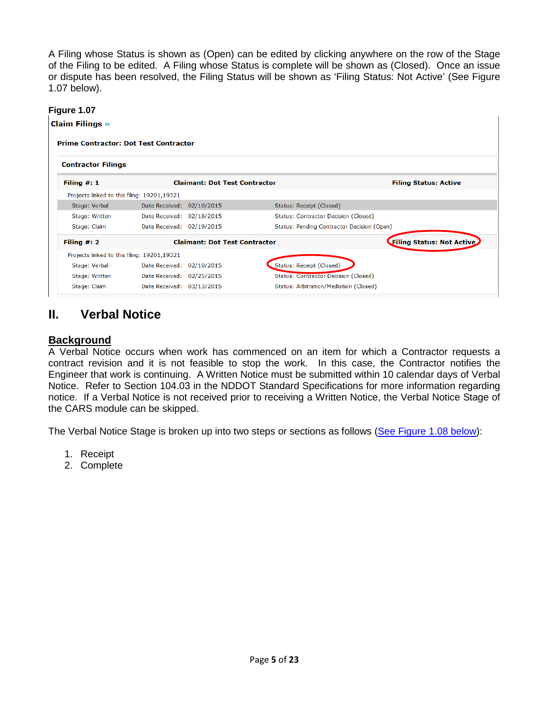A Filing whose Status is shown as (Open) can be edited by clicking anywhere on the row of the Stage of the Filing to be edited. A Filing whose Status is complete will be shown as (Closed). Once an issue or dispute has been resolved, the Filing Status will be shown as 'Filing Status: Not Active' (See Figure 1.07 below).

### <span id="page-4-0"></span>**Figure 1.07**

**Claim Filings «** 

#### **Prime Contractor: Dot Test Contractor**

| <b>Contractor Filings</b>                   |                           |                                             |                                            |
|---------------------------------------------|---------------------------|---------------------------------------------|--------------------------------------------|
| Filing $#: 1$                               |                           | <b>Claimant: Dot Test Contractor</b>        | <b>Filing Status: Active</b>               |
| Projects linked to this filing: 19201,19321 |                           |                                             |                                            |
| Stage: Verbal                               | Date Received: 02/10/2015 | Status: Receipt (Closed)                    |                                            |
| Stage: Written                              | Date Received: 02/18/2015 | <b>Status: Contractor Decision (Closed)</b> |                                            |
| Stage: Claim                                | Date Received: 02/19/2015 |                                             | Status: Pending Contractor Decision (Open) |
| Filing $#: 2$                               |                           | <b>Claimant: Dot Test Contractor</b>        | <b>Filing Status: Not Active</b>           |
| Projects linked to this filing: 19201,19321 |                           |                                             |                                            |
| Stage: Verbal                               | Date Received: 02/10/2015 | Status: Receipt (Closed)                    |                                            |
| Stage: Written                              | Date Received: 02/25/2015 | Status: Contractor Decision (Closed)        |                                            |
| Stage: Claim                                | Date Received: 03/13/2015 | Status: Arbitration/Mediation (Closed)      |                                            |

# **II. Verbal Notice**

# **Background**

A Verbal Notice occurs when work has commenced on an item for which a Contractor requests a contract revision and it is not feasible to stop the work. In this case, the Contractor notifies the Engineer that work is continuing. A Written Notice must be submitted within 10 calendar days of Verbal Notice. Refer to Section 104.03 in the NDDOT Standard Specifications for more information regarding notice. If a Verbal Notice is not received prior to receiving a Written Notice, the Verbal Notice Stage of the CARS module can be skipped.

The Verbal Notice Stage is broken up into two steps or sections as follows [\(See Figure 1.08 below\)](#page-5-0):

- 1. Receipt
- 2. Complete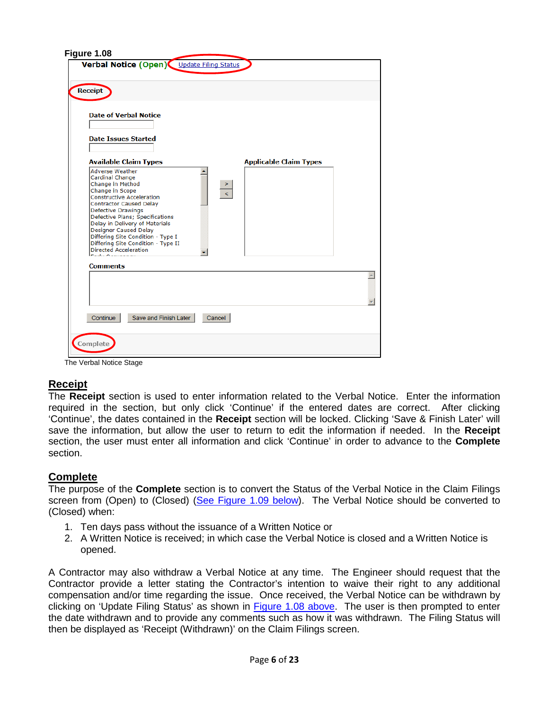<span id="page-5-0"></span>

| <b>Receipt</b>                                                                                                                                                                                                                                                  | Verbal Notice (Open) Update Filing Status                                                                                                    |        |                               |  |
|-----------------------------------------------------------------------------------------------------------------------------------------------------------------------------------------------------------------------------------------------------------------|----------------------------------------------------------------------------------------------------------------------------------------------|--------|-------------------------------|--|
| <b>Date of Verbal Notice</b>                                                                                                                                                                                                                                    |                                                                                                                                              |        |                               |  |
| <b>Date Issues Started</b>                                                                                                                                                                                                                                      |                                                                                                                                              |        |                               |  |
|                                                                                                                                                                                                                                                                 | <b>Available Claim Types</b>                                                                                                                 |        | <b>Applicable Claim Types</b> |  |
| <b>Adverse Weather</b><br>Cardinal Change<br>Change in Method<br>Change in Scope<br><b>Constructive Acceleration</b><br><b>Contractor Caused Delay</b><br><b>Defective Drawings</b><br>Designer Caused Delay<br><b>Directed Acceleration</b><br><b>Comments</b> | Defective Plans; Specifications<br>Delay in Delivery of Materials<br>Differing Site Condition - Type I<br>Differing Site Condition - Type II |        |                               |  |
|                                                                                                                                                                                                                                                                 |                                                                                                                                              |        |                               |  |
|                                                                                                                                                                                                                                                                 |                                                                                                                                              |        |                               |  |
| Continue                                                                                                                                                                                                                                                        | Save and Finish Later                                                                                                                        | Cancel |                               |  |
|                                                                                                                                                                                                                                                                 |                                                                                                                                              |        |                               |  |

The Verbal Notice Stage

# **Receipt**

The **Receipt** section is used to enter information related to the Verbal Notice. Enter the information required in the section, but only click 'Continue' if the entered dates are correct. After clicking 'Continue', the dates contained in the **Receipt** section will be locked. Clicking 'Save & Finish Later' will save the information, but allow the user to return to edit the information if needed. In the **Receipt** section, the user must enter all information and click 'Continue' in order to advance to the **Complete** section.

# **Complete**

The purpose of the **Complete** section is to convert the Status of the Verbal Notice in the Claim Filings screen from (Open) to (Closed) [\(See Figure 1.09 below\)](#page-6-0). The Verbal Notice should be converted to (Closed) when:

- 1. Ten days pass without the issuance of a Written Notice or
- 2. A Written Notice is received; in which case the Verbal Notice is closed and a Written Notice is opened.

A Contractor may also withdraw a Verbal Notice at any time. The Engineer should request that the Contractor provide a letter stating the Contractor's intention to waive their right to any additional compensation and/or time regarding the issue. Once received, the Verbal Notice can be withdrawn by clicking on 'Update Filing Status' as shown in [Figure 1.08](#page-5-0) above. The user is then prompted to enter the date withdrawn and to provide any comments such as how it was withdrawn. The Filing Status will then be displayed as 'Receipt (Withdrawn)' on the Claim Filings screen.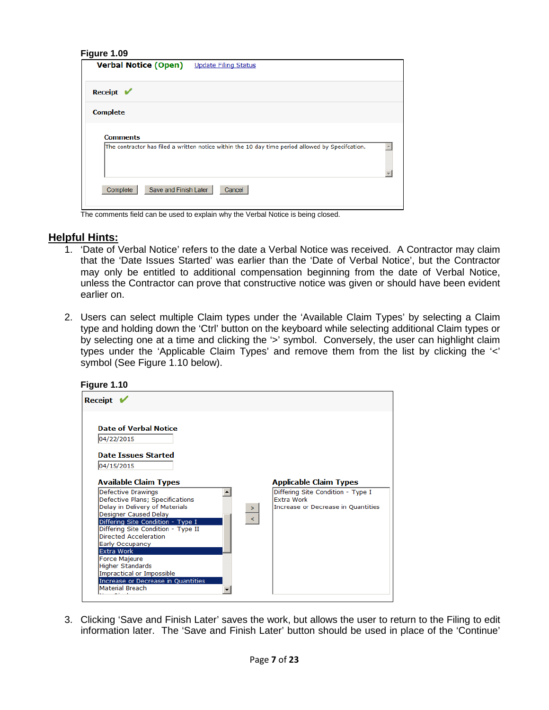<span id="page-6-0"></span>

| Figure 1.09<br><b>Verbal Notice (Open)</b> | <b>Update Filing Status</b>                                                                      |  |
|--------------------------------------------|--------------------------------------------------------------------------------------------------|--|
| Receipt $\mathbf{V}$                       |                                                                                                  |  |
| <b>Complete</b>                            |                                                                                                  |  |
| <b>Comments</b>                            | The contractor has filed a written notice within the 10 day time period allowed by Specifcation. |  |
|                                            |                                                                                                  |  |
| Save and Finish Later<br>Complete          | Cancel                                                                                           |  |

The comments field can be used to explain why the Verbal Notice is being closed.

### **Helpful Hints:**

- 1. 'Date of Verbal Notice' refers to the date a Verbal Notice was received. A Contractor may claim that the 'Date Issues Started' was earlier than the 'Date of Verbal Notice', but the Contractor may only be entitled to additional compensation beginning from the date of Verbal Notice, unless the Contractor can prove that constructive notice was given or should have been evident earlier on.
- 2. Users can select multiple Claim types under the 'Available Claim Types' by selecting a Claim type and holding down the 'Ctrl' button on the keyboard while selecting additional Claim types or by selecting one at a time and clicking the '>' symbol. Conversely, the user can highlight claim types under the 'Applicable Claim Types' and remove them from the list by clicking the '<' symbol (See Figure 1.10 below).



3. Clicking 'Save and Finish Later' saves the work, but allows the user to return to the Filing to edit information later. The 'Save and Finish Later' button should be used in place of the 'Continue'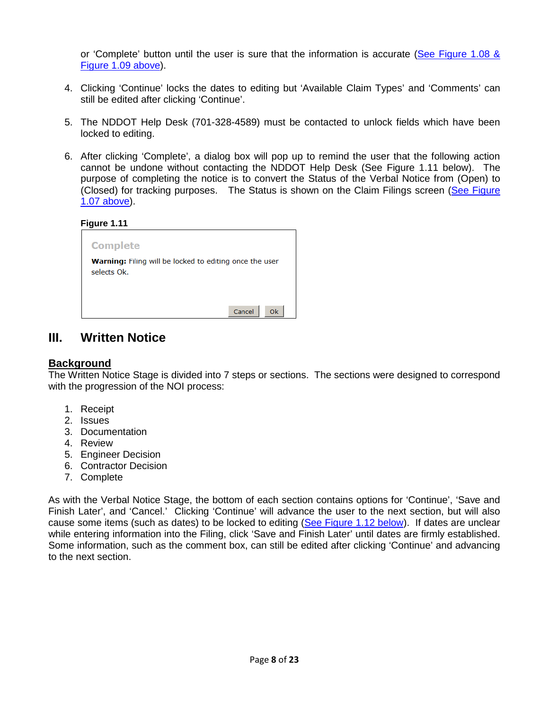or 'Complete' button until the user is sure that the information is accurate (See [Figure 1.08](#page-5-0) & [Figure 1.09 above\)](#page-5-0).

- 4. Clicking 'Continue' locks the dates to editing but 'Available Claim Types' and 'Comments' can still be edited after clicking 'Continue'.
- 5. The NDDOT Help Desk (701-328-4589) must be contacted to unlock fields which have been locked to editing.
- 6. After clicking 'Complete', a dialog box will pop up to remind the user that the following action cannot be undone without contacting the NDDOT Help Desk (See Figure 1.11 below). The purpose of completing the notice is to convert the Status of the Verbal Notice from (Open) to (Closed) for tracking purposes. The Status is shown on the Claim Filings screen (See [Figure](#page-4-0)  1.07 [above\)](#page-4-0).

**Figure 1.11**

| <b>Complete</b>                                                               |  |
|-------------------------------------------------------------------------------|--|
| <b>Warning:</b> Filing will be locked to editing once the user<br>selects Ok. |  |
| Cancel<br>0k                                                                  |  |

# **III. Written Notice**

# **Background**

The Written Notice Stage is divided into 7 steps or sections. The sections were designed to correspond with the progression of the NOI process:

- 1. Receipt
- 2. Issues
- 3. Documentation
- 4. Review
- 5. Engineer Decision
- 6. Contractor Decision
- 7. Complete

As with the Verbal Notice Stage, the bottom of each section contains options for 'Continue', 'Save and Finish Later', and 'Cancel.' Clicking 'Continue' will advance the user to the next section, but will also cause some items (such as dates) to be locked to editing [\(See Figure 1.12 below\)](#page-8-0). If dates are unclear while entering information into the Filing, click 'Save and Finish Later' until dates are firmly established. Some information, such as the comment box, can still be edited after clicking 'Continue' and advancing to the next section.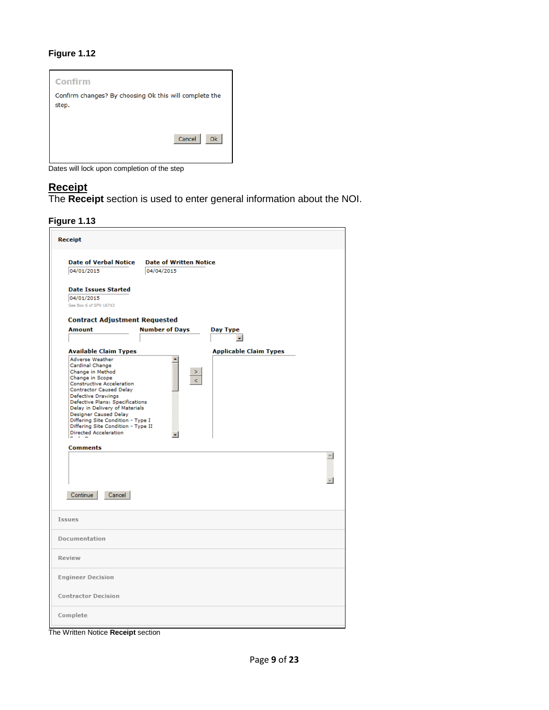<span id="page-8-0"></span>

Dates will lock upon completion of the step

# **Receipt**

The **Receipt** section is used to enter general information about the NOI.



| <b>Receipt</b>                                                                                                                                                                                                                                                                                                                                                                                                                                                                         |                                                                                       |
|----------------------------------------------------------------------------------------------------------------------------------------------------------------------------------------------------------------------------------------------------------------------------------------------------------------------------------------------------------------------------------------------------------------------------------------------------------------------------------------|---------------------------------------------------------------------------------------|
| <b>Date of Verbal Notice</b><br>04/01/2015                                                                                                                                                                                                                                                                                                                                                                                                                                             | <b>Date of Written Notice</b><br>04/04/2015                                           |
| <b>Date Issues Started</b><br>04/01/2015<br>See Box 6 of SFN 16743                                                                                                                                                                                                                                                                                                                                                                                                                     |                                                                                       |
| <b>Contract Adjustment Requested</b><br><b>Amount</b>                                                                                                                                                                                                                                                                                                                                                                                                                                  | <b>Number of Days</b><br>Day Type                                                     |
| <b>Available Claim Types</b><br><b>Adverse Weather</b><br>Cardinal Change<br>Change in Method<br>Change in Scope<br><b>Constructive Acceleration</b><br><b>Contractor Caused Delay</b><br>Defective Drawings<br>Defective Plans; Specifications<br>Delay in Delivery of Materials<br><b>Designer Caused Delay</b><br>Differing Site Condition - Type I<br>Differing Site Condition - Type II<br><b>Directed Acceleration</b><br>$\sim$ $\sim$<br><b>Comments</b><br>Continue<br>Cancel | $\bullet$<br><b>Applicable Claim Types</b><br>٠<br>><br>k<br>$\overline{\phantom{a}}$ |
| Issues                                                                                                                                                                                                                                                                                                                                                                                                                                                                                 |                                                                                       |
| Documentation                                                                                                                                                                                                                                                                                                                                                                                                                                                                          |                                                                                       |
| Review                                                                                                                                                                                                                                                                                                                                                                                                                                                                                 |                                                                                       |
| <b>Engineer Decision</b>                                                                                                                                                                                                                                                                                                                                                                                                                                                               |                                                                                       |
| <b>Contractor Decision</b>                                                                                                                                                                                                                                                                                                                                                                                                                                                             |                                                                                       |
| Complete                                                                                                                                                                                                                                                                                                                                                                                                                                                                               |                                                                                       |

The Written Notice **Receipt** section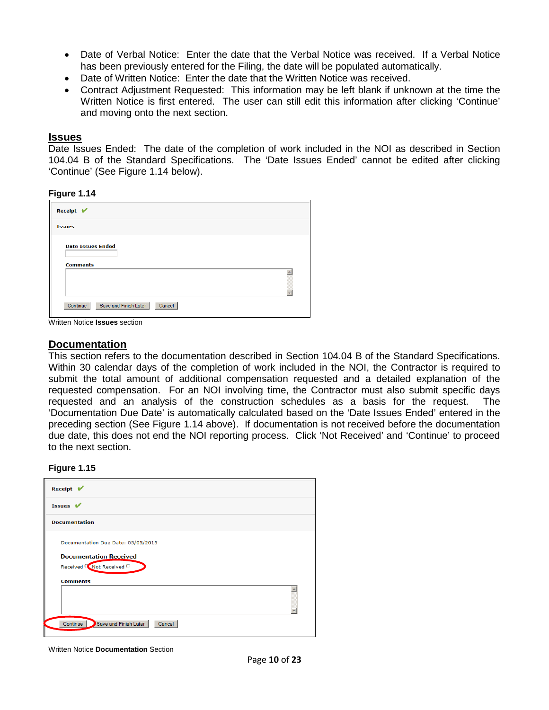- Date of Verbal Notice: Enter the date that the Verbal Notice was received. If a Verbal Notice has been previously entered for the Filing, the date will be populated automatically.
- Date of Written Notice: Enter the date that the Written Notice was received.
- Contract Adjustment Requested: This information may be left blank if unknown at the time the Written Notice is first entered. The user can still edit this information after clicking 'Continue' and moving onto the next section.

#### **Issues**

Date Issues Ended: The date of the completion of work included in the NOI as described in Section 104.04 B of the Standard Specifications. The 'Date Issues Ended' cannot be edited after clicking 'Continue' (See Figure 1.14 below).

#### **Figure 1.14**

| Receipt $\blacktriangleright$               |  |
|---------------------------------------------|--|
| <b>Issues</b>                               |  |
| <b>Date Issues Ended</b><br><b>Comments</b> |  |
|                                             |  |
| Continue<br>Save and Finish Later<br>Cancel |  |

Written Notice **Issues** section

### **Documentation**

This section refers to the documentation described in Section 104.04 B of the Standard Specifications. Within 30 calendar days of the completion of work included in the NOI, the Contractor is required to submit the total amount of additional compensation requested and a detailed explanation of the requested compensation. For an NOI involving time, the Contractor must also submit specific days requested and an analysis of the construction schedules as a basis for the request. The 'Documentation Due Date' is automatically calculated based on the 'Date Issues Ended' entered in the preceding section (See Figure 1.14 above). If documentation is not received before the documentation due date, this does not end the NOI reporting process. Click 'Not Received' and 'Continue' to proceed to the next section.

#### **Figure 1.15**

| <b>Receipt</b> ✔                                           |  |
|------------------------------------------------------------|--|
| Issues $V$                                                 |  |
| <b>Documentation</b>                                       |  |
| Documentation Due Date: 05/05/2015                         |  |
| <b>Documentation Received</b><br>Received C Not Received C |  |
| <b>Comments</b>                                            |  |
|                                                            |  |
| Continue Save and Finish Later<br>Cancel                   |  |

Written Notice **Documentation** Section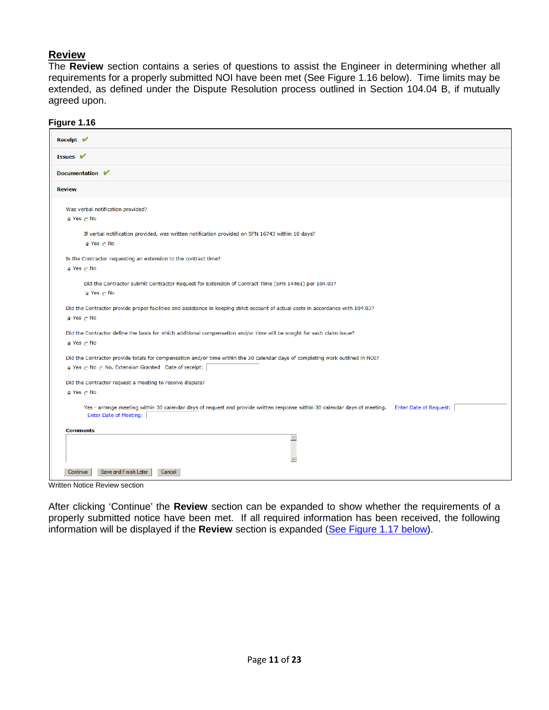# **Review**

The **Review** section contains a series of questions to assist the Engineer in determining whether all requirements for a properly submitted NOI have been met (See Figure 1.16 below). Time limits may be extended, as defined under the Dispute Resolution process outlined in Section 104.04 B, if mutually agreed upon.

<span id="page-10-1"></span>

|  | Figure 1.16 |  |  |  |
|--|-------------|--|--|--|
|--|-------------|--|--|--|

| .                                                                                                                                                                                           |
|---------------------------------------------------------------------------------------------------------------------------------------------------------------------------------------------|
| Receipt V                                                                                                                                                                                   |
| Issues V                                                                                                                                                                                    |
| Documentation V                                                                                                                                                                             |
| <b>Review</b>                                                                                                                                                                               |
| Was verbal notification provided?<br>© Yes ∩ No                                                                                                                                             |
| If verbal notification provided, was written notification provided on SFN 16743 within 10 days?<br>$C$ Yes $C$ No                                                                           |
| Is the Contractor requesting an extension to the contract time?<br>© Yes ∩ No                                                                                                               |
| Did the Contractor submit Contractor Request for Extension of Contract Time (SFN 14461) per 104.03?<br>$\odot$ Yes $\odot$ No                                                               |
| Did the Contractor provide proper facilities and assistance in keeping strict account of actual costs in accordance with 104.03?<br>G Yes n No                                              |
| Did the Contractor define the basis for which additional compensation and/or time will be sought for each claim issue?<br>© Yes ∩ No                                                        |
| Did the Contractor provide totals for compensation and/or time within the 30 calendar days of completing work outlined in NOI?<br>G Yes n No n No, Extension Granted Date of receipt:       |
| Did the Contractor request a meeting to resolve dispute?<br>© Yes ∩ No                                                                                                                      |
| Yes - arrange meeting within 30 calendar days of request and provide written response within 30 calendar days of meeting.<br><b>Enter Date of Request:</b><br><b>Enter Date of Meeting:</b> |
| <b>Comments</b><br>$\hat{\phantom{a}}$                                                                                                                                                      |
| Save and Finish Later<br>Continue<br>Cancel                                                                                                                                                 |

Written Notice Review section

<span id="page-10-0"></span>After clicking 'Continue' the **Review** section can be expanded to show whether the requirements of a properly submitted notice have been met. If all required information has been received, the following information will be displayed if the **Review** section is expanded [\(See Figure 1.17 below\)](#page-10-0).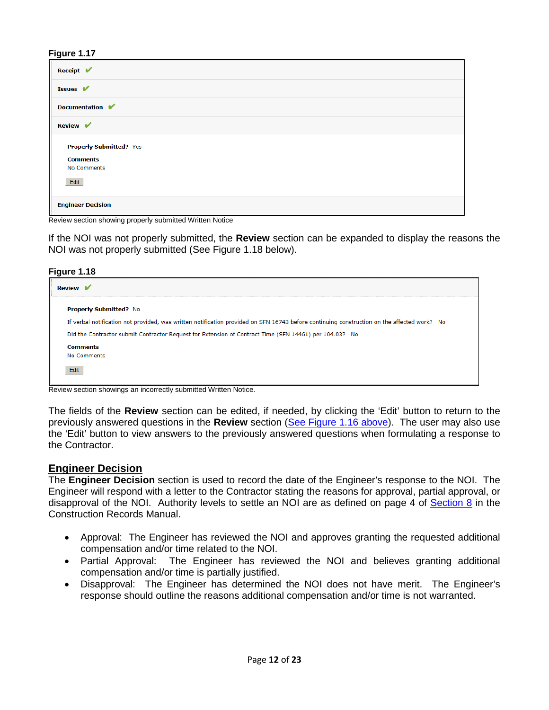| Receipt $\sqrt{\phantom{a}}$   |  |  |  |
|--------------------------------|--|--|--|
| Issues V                       |  |  |  |
| Documentation V                |  |  |  |
| <b>Review</b> ✔                |  |  |  |
| <b>Properly Submitted? Yes</b> |  |  |  |
| <b>Comments</b>                |  |  |  |
| No Comments                    |  |  |  |
| Edit                           |  |  |  |
| <b>Engineer Decision</b>       |  |  |  |

Review section showing properly submitted Written Notice

If the NOI was not properly submitted, the **Review** section can be expanded to display the reasons the NOI was not properly submitted (See Figure 1.18 below).

#### **Figure 1.18**

| <b>Review</b> $\mathbf{V}$                                                                                                                  |  |
|---------------------------------------------------------------------------------------------------------------------------------------------|--|
| <b>Properly Submitted? No</b>                                                                                                               |  |
| If verbal notification not provided, was written notification provided on SFN 16743 before continuing construction on the affected work? No |  |
| Did the Contractor submit Contractor Request for Extension of Contract Time (SFN 14461) per 104.03? No                                      |  |
| <b>Comments</b><br>No Comments<br>Edit                                                                                                      |  |

Review section showings an incorrectly submitted Written Notice.

The fields of the **Review** section can be edited, if needed, by clicking the 'Edit' button to return to the previously answered questions in the **Review** section [\(See Figure 1.16](#page-10-1) above). The user may also use the 'Edit' button to view answers to the previously answered questions when formulating a response to the Contractor.

### **Engineer Decision**

The **Engineer Decision** section is used to record the date of the Engineer's response to the NOI. The Engineer will respond with a letter to the Contractor stating the reasons for approval, partial approval, or disapproval of the NOI. Authority levels to settle an NOI are as defined on page 4 of [Section 8](https://www.dot.nd.gov/manuals/construction/constr-records/section8.pdf) in the Construction Records Manual.

- Approval: The Engineer has reviewed the NOI and approves granting the requested additional compensation and/or time related to the NOI.
- Partial Approval: The Engineer has reviewed the NOI and believes granting additional compensation and/or time is partially justified.
- Disapproval: The Engineer has determined the NOI does not have merit. The Engineer's response should outline the reasons additional compensation and/or time is not warranted.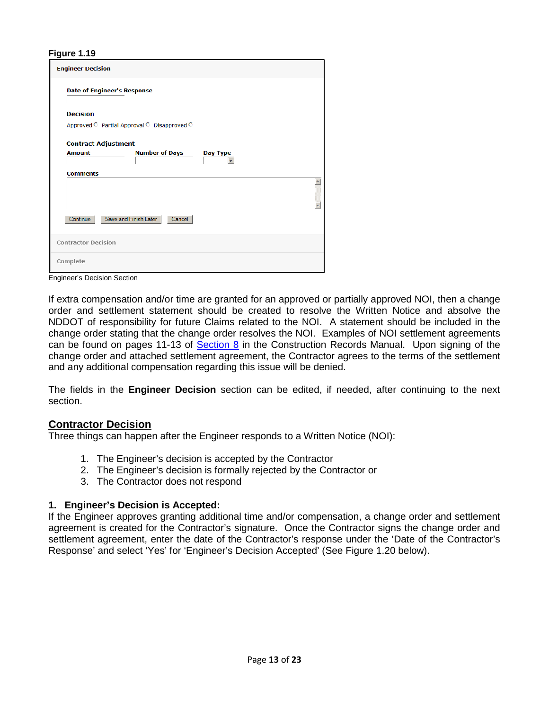| <b>Engineer Decision</b>                           |  |  |  |  |
|----------------------------------------------------|--|--|--|--|
| <b>Date of Engineer's Response</b>                 |  |  |  |  |
| <b>Decision</b>                                    |  |  |  |  |
| Approved C Partial Approval C Disapproved C        |  |  |  |  |
| <b>Contract Adjustment</b>                         |  |  |  |  |
| <b>Number of Days</b><br><b>Amount</b><br>Day Type |  |  |  |  |
| <b>Comments</b>                                    |  |  |  |  |
|                                                    |  |  |  |  |
| Continue<br>Save and Finish Later<br>Cancel        |  |  |  |  |
| <b>Contractor Decision</b>                         |  |  |  |  |
| Complete                                           |  |  |  |  |

Engineer's Decision Section

If extra compensation and/or time are granted for an approved or partially approved NOI, then a change order and settlement statement should be created to resolve the Written Notice and absolve the NDDOT of responsibility for future Claims related to the NOI. A statement should be included in the change order stating that the change order resolves the NOI. Examples of NOI settlement agreements can be found on pages 11-13 of [Section 8](https://www.dot.nd.gov/manuals/construction/constr-records/section8.pdf) in the Construction Records Manual. Upon signing of the change order and attached settlement agreement, the Contractor agrees to the terms of the settlement and any additional compensation regarding this issue will be denied.

The fields in the **Engineer Decision** section can be edited, if needed, after continuing to the next section.

# **Contractor Decision**

Three things can happen after the Engineer responds to a Written Notice (NOI):

- 1. The Engineer's decision is accepted by the Contractor
- 2. The Engineer's decision is formally rejected by the Contractor or
- 3. The Contractor does not respond

# **1. Engineer's Decision is Accepted:**

If the Engineer approves granting additional time and/or compensation, a change order and settlement agreement is created for the Contractor's signature. Once the Contractor signs the change order and settlement agreement, enter the date of the Contractor's response under the 'Date of the Contractor's Response' and select 'Yes' for 'Engineer's Decision Accepted' (See Figure 1.20 below).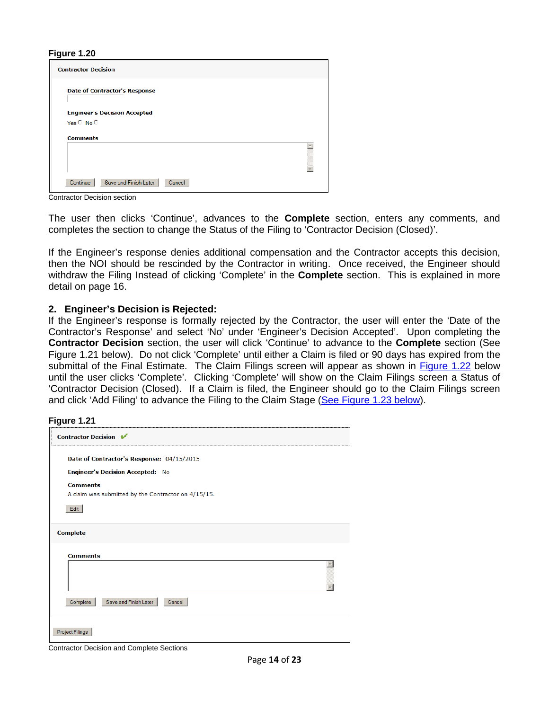| <b>Contractor Decision</b>                        |  |
|---------------------------------------------------|--|
| <b>Date of Contractor's Response</b>              |  |
| <b>Engineer's Decision Accepted</b><br>Yes C No C |  |
| <b>Comments</b>                                   |  |
|                                                   |  |
| Save and Finish Later<br>Continue<br>Cancel       |  |

Contractor Decision section

The user then clicks 'Continue', advances to the **Complete** section, enters any comments, and completes the section to change the Status of the Filing to 'Contractor Decision (Closed)'.

If the Engineer's response denies additional compensation and the Contractor accepts this decision, then the NOI should be rescinded by the Contractor in writing. Once received, the Engineer should withdraw the Filing Instead of clicking 'Complete' in the **Complete** section. This is explained in more detail on page 16.

#### **2. Engineer's Decision is Rejected:**

If the Engineer's response is formally rejected by the Contractor, the user will enter the 'Date of the Contractor's Response' and select 'No' under 'Engineer's Decision Accepted'. Upon completing the **Contractor Decision** section, the user will click 'Continue' to advance to the **Complete** section (See Figure 1.21 below). Do not click 'Complete' until either a Claim is filed or 90 days has expired from the submittal of the Final Estimate. The Claim Filings screen will appear as shown in [Figure 1.22](#page-14-0) below until the user clicks 'Complete'. Clicking 'Complete' will show on the Claim Filings screen a Status of 'Contractor Decision (Closed). If a Claim is filed, the Engineer should go to the Claim Filings screen and click 'Add Filing' to advance the Filing to the Claim Stage [\(See Figure 1.23](#page-14-1) below).

#### **Figure 1.21**

| <b>Contractor Decision ↓</b> |                                                     |  |
|------------------------------|-----------------------------------------------------|--|
|                              | Date of Contractor's Response: 04/15/2015           |  |
|                              | <b>Engineer's Decision Accepted: No</b>             |  |
| <b>Comments</b>              |                                                     |  |
|                              | A claim was submitted by the Contractor on 4/15/15. |  |
| Edit                         |                                                     |  |
| <b>Comments</b>              |                                                     |  |
|                              |                                                     |  |
|                              |                                                     |  |
| Complete                     | Save and Finish Later<br>Cancel                     |  |
|                              |                                                     |  |

Contractor Decision and Complete Sections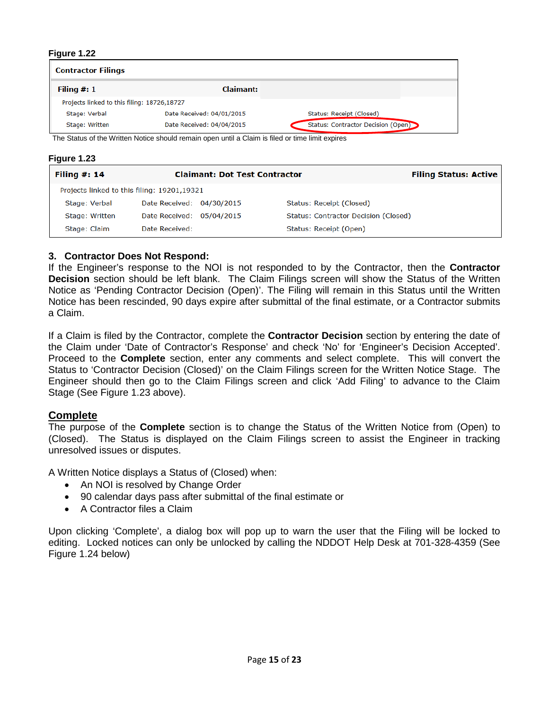<span id="page-14-0"></span>

| <b>Contractor Filings</b>                   |                           |                                    |  |  |
|---------------------------------------------|---------------------------|------------------------------------|--|--|
| Filing $#: 1$                               | Claimant:                 |                                    |  |  |
| Projects linked to this filing: 18726,18727 |                           |                                    |  |  |
| Stage: Verbal                               | Date Received: 04/01/2015 | Status: Receipt (Closed)           |  |  |
| Stage: Written                              | Date Received: 04/04/2015 | Status: Contractor Decision (Open) |  |  |

The Status of the Written Notice should remain open until a Claim is filed or time limit expires

<span id="page-14-1"></span>

| <b>Figure 1.23</b> |  |
|--------------------|--|
|--------------------|--|

| Filing $#: 14$                              | <b>Claimant: Dot Test Contractor</b> |  | <b>Filing Status: Active</b>         |  |
|---------------------------------------------|--------------------------------------|--|--------------------------------------|--|
| Projects linked to this filing: 19201,19321 |                                      |  |                                      |  |
| Stage: Verbal                               | Date Received: 04/30/2015            |  | Status: Receipt (Closed)             |  |
| Stage: Written                              | Date Received: 05/04/2015            |  | Status: Contractor Decision (Closed) |  |
| Stage: Claim                                | Date Received:                       |  | Status: Receipt (Open)               |  |

### **3. Contractor Does Not Respond:**

If the Engineer's response to the NOI is not responded to by the Contractor, then the **Contractor Decision** section should be left blank. The Claim Filings screen will show the Status of the Written Notice as 'Pending Contractor Decision (Open)'. The Filing will remain in this Status until the Written Notice has been rescinded, 90 days expire after submittal of the final estimate, or a Contractor submits a Claim.

If a Claim is filed by the Contractor, complete the **Contractor Decision** section by entering the date of the Claim under 'Date of Contractor's Response' and check 'No' for 'Engineer's Decision Accepted'. Proceed to the **Complete** section, enter any comments and select complete. This will convert the Status to 'Contractor Decision (Closed)' on the Claim Filings screen for the Written Notice Stage. The Engineer should then go to the Claim Filings screen and click 'Add Filing' to advance to the Claim Stage (See Figure 1.23 above).

### **Complete**

The purpose of the **Complete** section is to change the Status of the Written Notice from (Open) to (Closed). The Status is displayed on the Claim Filings screen to assist the Engineer in tracking unresolved issues or disputes.

A Written Notice displays a Status of (Closed) when:

- An NOI is resolved by Change Order
- 90 calendar days pass after submittal of the final estimate or
- A Contractor files a Claim

Upon clicking 'Complete', a dialog box will pop up to warn the user that the Filing will be locked to editing. Locked notices can only be unlocked by calling the NDDOT Help Desk at 701-328-4359 (See Figure 1.24 below)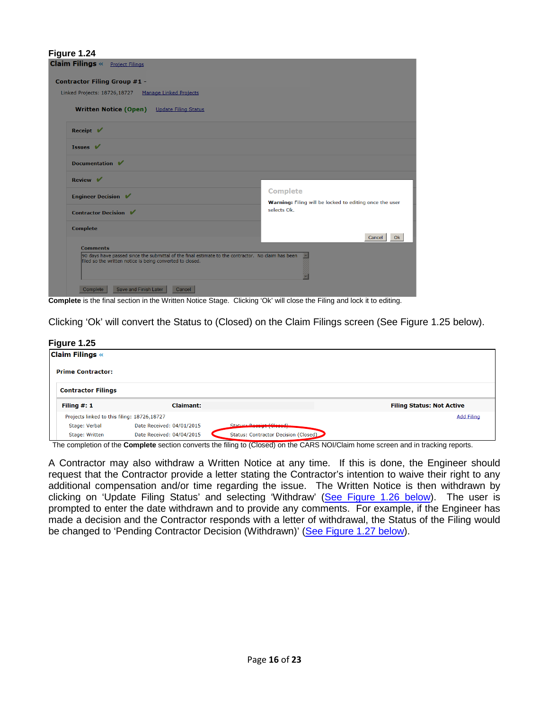| Figure 1.24                                                                                                                                                     |                                                                            |  |  |
|-----------------------------------------------------------------------------------------------------------------------------------------------------------------|----------------------------------------------------------------------------|--|--|
| <b>Claim Filings «</b><br><b>Project Filings</b>                                                                                                                |                                                                            |  |  |
| <b>Contractor Filing Group #1 -</b>                                                                                                                             |                                                                            |  |  |
| Linked Projects: 18726,18727<br><b>Manage Linked Projects</b>                                                                                                   |                                                                            |  |  |
| <b>Written Notice (Open)</b><br><b>Update Filing Status</b>                                                                                                     |                                                                            |  |  |
| Receipt $\mathbf V$                                                                                                                                             |                                                                            |  |  |
| Issues $\mathbf V$                                                                                                                                              |                                                                            |  |  |
| Documentation V                                                                                                                                                 |                                                                            |  |  |
| Review $\mathbf{\nabla}$                                                                                                                                        |                                                                            |  |  |
| <b>Engineer Decision</b> ✔                                                                                                                                      | <b>Complete</b><br>Warning: Filing will be locked to editing once the user |  |  |
| <b>Contractor Decision</b> ■                                                                                                                                    | selects Ok.                                                                |  |  |
| <b>Complete</b>                                                                                                                                                 | <b>Ok</b><br>Cancel                                                        |  |  |
| <b>Comments</b>                                                                                                                                                 |                                                                            |  |  |
| 90 days have passed since the submittal of the final estimate to the contractor. No claim has been<br>filed so the written notice is being converted to closed. |                                                                            |  |  |
|                                                                                                                                                                 |                                                                            |  |  |
| Save and Finish Later<br>Complete<br>Cancel                                                                                                                     |                                                                            |  |  |

**Complete** is the final section in the Written Notice Stage. Clicking 'Ok' will close the Filing and lock it to editing.

Clicking 'Ok' will convert the Status to (Closed) on the Claim Filings screen (See Figure 1.25 below).

#### **Figure 1.25**

| <b>Claim Filings «</b>    |                                             |                                      |                                  |
|---------------------------|---------------------------------------------|--------------------------------------|----------------------------------|
| <b>Prime Contractor:</b>  |                                             |                                      |                                  |
| <b>Contractor Filings</b> |                                             |                                      |                                  |
| Filing $#: 1$             | <b>Claimant:</b>                            |                                      | <b>Filing Status: Not Active</b> |
|                           | Projects linked to this filing: 18726,18727 |                                      | <b>Add Filing</b>                |
| Stage: Verbal             | Date Received: 04/01/2015                   | Statue: Reserved Cleaned)            |                                  |
| Stage: Written            | Date Received: 04/04/2015                   | Status: Contractor Decision (Closed) |                                  |

The completion of the **Complete** section converts the filing to (Closed) on the CARS NOI/Claim home screen and in tracking reports.

A Contractor may also withdraw a Written Notice at any time. If this is done, the Engineer should request that the Contractor provide a letter stating the Contractor's intention to waive their right to any additional compensation and/or time regarding the issue. The Written Notice is then withdrawn by clicking on 'Update Filing Status' and selecting 'Withdraw' [\(See Figure 1.26](#page-16-0) below). The user is prompted to enter the date withdrawn and to provide any comments. For example, if the Engineer has made a decision and the Contractor responds with a letter of withdrawal, the Status of the Filing would be changed to 'Pending Contractor Decision (Withdrawn)' [\(See Figure 1.27](#page-16-1) below).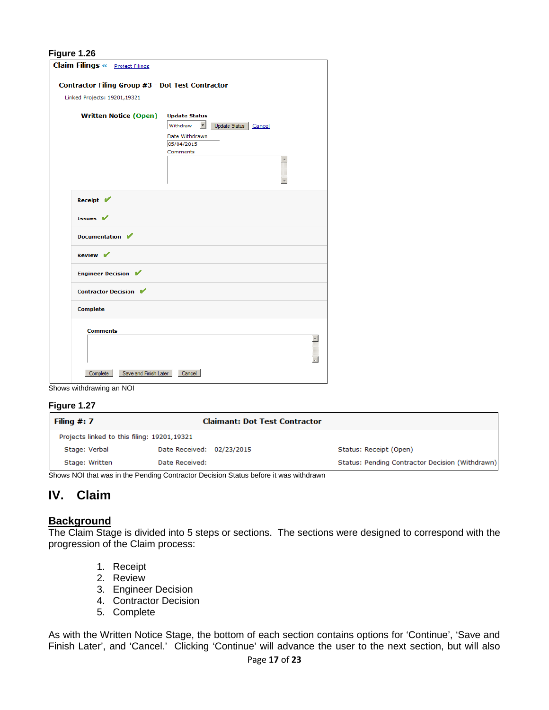<span id="page-16-0"></span>

| <b>Claim Filings &lt;&gt; Project Filings</b>    |                                                            |  |
|--------------------------------------------------|------------------------------------------------------------|--|
| Contractor Filing Group #3 - Dot Test Contractor |                                                            |  |
| Linked Projects: 19201,19321                     |                                                            |  |
|                                                  |                                                            |  |
| <b>Written Notice (Open)</b>                     | <b>Update Status</b><br>Withdraw<br>Update Status   Cancel |  |
|                                                  | Date Withdrawn                                             |  |
|                                                  | 05/04/2015                                                 |  |
|                                                  | Comments                                                   |  |
|                                                  | $\blacktriangle$                                           |  |
|                                                  |                                                            |  |
|                                                  |                                                            |  |
| Receipt V                                        |                                                            |  |
| Issues V                                         |                                                            |  |
| Documentation V                                  |                                                            |  |
| Review V                                         |                                                            |  |
| Engineer Decision                                |                                                            |  |
| Contractor Decision ✔                            |                                                            |  |
| <b>Complete</b>                                  |                                                            |  |
| <b>Comments</b>                                  |                                                            |  |
|                                                  |                                                            |  |
|                                                  |                                                            |  |
|                                                  |                                                            |  |
| Save and Finish Later<br>Complete                | Cancel                                                     |  |

Shows withdrawing an NOI

#### <span id="page-16-1"></span>**Figure 1.27**

| Filing $#: 7$                               | <b>Claimant: Dot Test Contractor</b> |                                                 |
|---------------------------------------------|--------------------------------------|-------------------------------------------------|
| Projects linked to this filing: 19201,19321 |                                      |                                                 |
| Stage: Verbal                               | Date Received: 02/23/2015            | Status: Receipt (Open)                          |
| Stage: Written                              | Date Received:                       | Status: Pending Contractor Decision (Withdrawn) |

Shows NOI that was in the Pending Contractor Decision Status before it was withdrawn

# **IV. Claim**

# **Background**

The Claim Stage is divided into 5 steps or sections. The sections were designed to correspond with the progression of the Claim process:

- 1. Receipt
- 2. Review
- 3. Engineer Decision
- 4. Contractor Decision
- 5. Complete

As with the Written Notice Stage, the bottom of each section contains options for 'Continue', 'Save and Finish Later', and 'Cancel.' Clicking 'Continue' will advance the user to the next section, but will also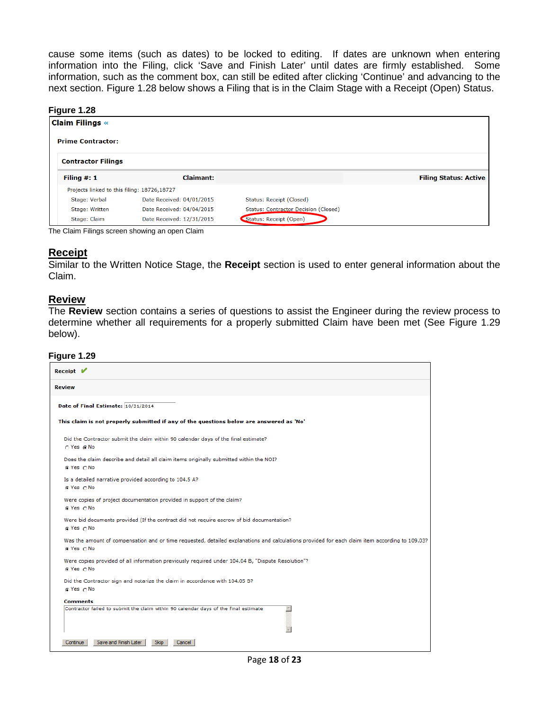cause some items (such as dates) to be locked to editing. If dates are unknown when entering information into the Filing, click 'Save and Finish Later' until dates are firmly established. Some information, such as the comment box, can still be edited after clicking 'Continue' and advancing to the next section. Figure 1.28 below shows a Filing that is in the Claim Stage with a Receipt (Open) Status.

#### **Figure 1.28**

| <b>Claim Filings «</b>                      |                           |                                             |                              |
|---------------------------------------------|---------------------------|---------------------------------------------|------------------------------|
| <b>Prime Contractor:</b>                    |                           |                                             |                              |
| <b>Contractor Filings</b>                   |                           |                                             |                              |
| Filing $#: 1$                               | <b>Claimant:</b>          |                                             | <b>Filing Status: Active</b> |
| Projects linked to this filing: 18726,18727 |                           |                                             |                              |
| Stage: Verbal                               | Date Received: 04/01/2015 | Status: Receipt (Closed)                    |                              |
| Stage: Written                              | Date Received: 04/04/2015 | <b>Status: Contractor Decision (Closed)</b> |                              |
| Stage: Claim                                | Date Received: 12/31/2015 | Status: Receipt (Open)                      |                              |

The Claim Filings screen showing an open Claim

### **Receipt**

Similar to the Written Notice Stage, the **Receipt** section is used to enter general information about the Claim.

### **Review**

The **Review** section contains a series of questions to assist the Engineer during the review process to determine whether all requirements for a properly submitted Claim have been met (See Figure 1.29 below).

#### **Figure 1.29**

| Receipt $\mathbf{V}$                                                                                                                                         |
|--------------------------------------------------------------------------------------------------------------------------------------------------------------|
| <b>Review</b>                                                                                                                                                |
| Date of Final Estimate: 10/31/2014                                                                                                                           |
| This claim is not properly submitted if any of the questions below are answered as 'No'                                                                      |
| Did the Contractor submit the claim within 90 calendar days of the final estimate?<br>C Yes @ No                                                             |
| Does the claim describe and detail all claim items originally submitted within the NOI?<br>⊙ Yes ONo                                                         |
| Is a detailed narrative provided according to 104.5 A?<br>⊙ Yes O No                                                                                         |
| Were copies of project documentation provided in support of the claim?<br>⊕ Yes ⊙No                                                                          |
| Were bid documents provided (If the contract did not require escrow of bid documentation?<br>$@$ Yes $@$ No                                                  |
| Was the amount of compensation and or time requested, detailed explanations and calculations provided for each claim item according to 109.03?<br>© Yes ∩ No |
| Were copies provided of all information previously required under 104.04 B, "Dispute Resolution"?<br>n Yes ∩ No                                              |
| Did the Contractor sign and notarize the claim in accordance with 104.05 B?<br>G Yes ONO                                                                     |
| Comments                                                                                                                                                     |
| Contractor failed to submit the claim within 90 calendar days of the final estimate<br>$\overline{\phantom{a}}$                                              |
| V                                                                                                                                                            |
| Save and Finish Later<br><b>Skip</b><br>Cancel<br>Continue                                                                                                   |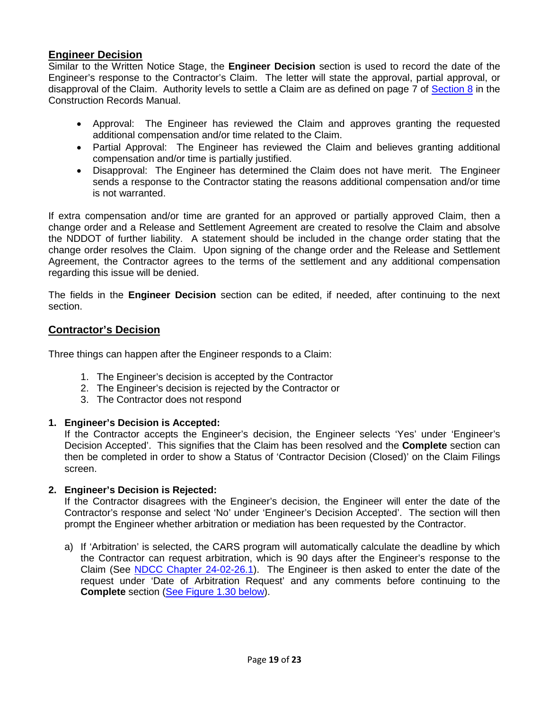# **Engineer Decision**

Similar to the Written Notice Stage, the **Engineer Decision** section is used to record the date of the Engineer's response to the Contractor's Claim. The letter will state the approval, partial approval, or disapproval of the Claim. Authority levels to settle a Claim are as defined on page 7 of [Section 8](https://www.dot.nd.gov/manuals/construction/constr-records/section8.pdf) in the Construction Records Manual.

- Approval: The Engineer has reviewed the Claim and approves granting the requested additional compensation and/or time related to the Claim.
- Partial Approval: The Engineer has reviewed the Claim and believes granting additional compensation and/or time is partially justified.
- Disapproval: The Engineer has determined the Claim does not have merit. The Engineer sends a response to the Contractor stating the reasons additional compensation and/or time is not warranted.

If extra compensation and/or time are granted for an approved or partially approved Claim, then a change order and a Release and Settlement Agreement are created to resolve the Claim and absolve the NDDOT of further liability. A statement should be included in the change order stating that the change order resolves the Claim. Upon signing of the change order and the Release and Settlement Agreement, the Contractor agrees to the terms of the settlement and any additional compensation regarding this issue will be denied.

The fields in the **Engineer Decision** section can be edited, if needed, after continuing to the next section.

# **Contractor's Decision**

Three things can happen after the Engineer responds to a Claim:

- 1. The Engineer's decision is accepted by the Contractor
- 2. The Engineer's decision is rejected by the Contractor or
- 3. The Contractor does not respond

# **1. Engineer's Decision is Accepted:**

If the Contractor accepts the Engineer's decision, the Engineer selects 'Yes' under 'Engineer's Decision Accepted'. This signifies that the Claim has been resolved and the **Complete** section can then be completed in order to show a Status of 'Contractor Decision (Closed)' on the Claim Filings screen.

### **2. Engineer's Decision is Rejected:**

If the Contractor disagrees with the Engineer's decision, the Engineer will enter the date of the Contractor's response and select 'No' under 'Engineer's Decision Accepted'. The section will then prompt the Engineer whether arbitration or mediation has been requested by the Contractor.

<span id="page-18-0"></span>a) If 'Arbitration' is selected, the CARS program will automatically calculate the deadline by which the Contractor can request arbitration, which is 90 days after the Engineer's response to the Claim (See [NDCC Chapter 24-02-26.1\)](http://www.legis.nd.gov/cencode/t24c02.pdf?20150505082149). The Engineer is then asked to enter the date of the request under 'Date of Arbitration Request' and any comments before continuing to the **Complete** section [\(See Figure 1.30 below\)](#page-18-0).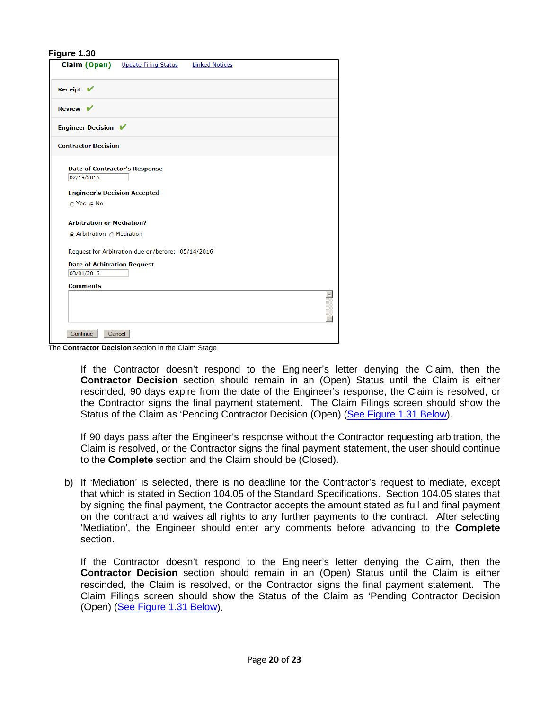|                                                    | <b>Claim (Open)</b> Update Filing Status          | <b>Linked Notices</b> |
|----------------------------------------------------|---------------------------------------------------|-----------------------|
| Receipt $\mathbf{V}$                               |                                                   |                       |
| Review $\mathbf{\nabla}$                           |                                                   |                       |
| <b>Engineer Decision ↓</b>                         |                                                   |                       |
| <b>Contractor Decision</b>                         |                                                   |                       |
| <b>Date of Contractor's Response</b><br>02/19/2016 |                                                   |                       |
| <b>Engineer's Decision Accepted</b>                |                                                   |                       |
| $\bigcap$ Yes $\bigcap$ No                         |                                                   |                       |
| <b>Arbitration or Mediation?</b>                   |                                                   |                       |
| Arbitration  C Mediation                           |                                                   |                       |
|                                                    | Request for Arbitration due on/before: 05/14/2016 |                       |
| <b>Date of Arbitration Request</b>                 |                                                   |                       |
| 03/01/2016                                         |                                                   |                       |
| <b>Comments</b>                                    |                                                   |                       |
|                                                    |                                                   | $\blacktriangle$      |
|                                                    |                                                   |                       |
|                                                    |                                                   |                       |
| Continue                                           | Cancel                                            |                       |

The **Contractor Decision** section in the Claim Stage

If the Contractor doesn't respond to the Engineer's letter denying the Claim, then the **Contractor Decision** section should remain in an (Open) Status until the Claim is either rescinded, 90 days expire from the date of the Engineer's response, the Claim is resolved, or the Contractor signs the final payment statement. The Claim Filings screen should show the Status of the Claim as 'Pending Contractor Decision (Open) [\(See Figure 1.31](#page-20-0) Below).

If 90 days pass after the Engineer's response without the Contractor requesting arbitration, the Claim is resolved, or the Contractor signs the final payment statement, the user should continue to the **Complete** section and the Claim should be (Closed).

b) If 'Mediation' is selected, there is no deadline for the Contractor's request to mediate, except that which is stated in Section 104.05 of the Standard Specifications. Section 104.05 states that by signing the final payment, the Contractor accepts the amount stated as full and final payment on the contract and waives all rights to any further payments to the contract. After selecting 'Mediation', the Engineer should enter any comments before advancing to the **Complete** section.

If the Contractor doesn't respond to the Engineer's letter denying the Claim, then the **Contractor Decision** section should remain in an (Open) Status until the Claim is either rescinded, the Claim is resolved, or the Contractor signs the final payment statement. The Claim Filings screen should show the Status of the Claim as 'Pending Contractor Decision (Open) [\(See Figure 1.31 Below\)](#page-20-0).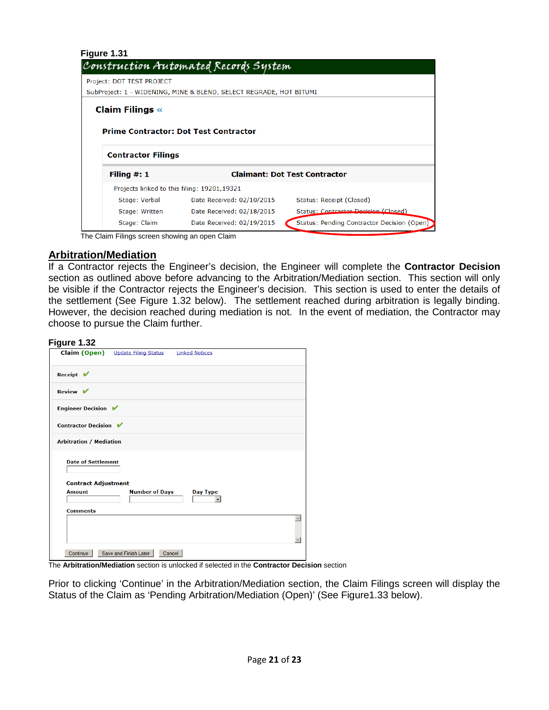<span id="page-20-0"></span>

| Figure 1.31               | Construction Automated Records System                              |                                      |
|---------------------------|--------------------------------------------------------------------|--------------------------------------|
| Project: DOT TEST PROJECT |                                                                    |                                      |
|                           | SubProject: 1 - WIDENING, MINE & BLEND, SELECT REGRADE, HOT BITUMI |                                      |
| <b>Claim Filings «</b>    | <b>Prime Contractor: Dot Test Contractor</b>                       |                                      |
|                           |                                                                    |                                      |
| <b>Contractor Filings</b> |                                                                    |                                      |
| Filing $#: 1$             |                                                                    | <b>Claimant: Dot Test Contractor</b> |
|                           | Projects linked to this filing: 19201,19321                        |                                      |
| Stage: Verbal             | Date Received: 02/10/2015                                          | Status: Receipt (Closed)             |
| Stage: Written            | Date Received: 02/18/2015                                          | Status: Contractor Decision (Closed) |

The Claim Filings screen showing an open Claim

# **Arbitration/Mediation**

If a Contractor rejects the Engineer's decision, the Engineer will complete the **Contractor Decision** section as outlined above before advancing to the Arbitration/Mediation section. This section will only be visible if the Contractor rejects the Engineer's decision. This section is used to enter the details of the settlement (See Figure 1.32 below). The settlement reached during arbitration is legally binding. However, the decision reached during mediation is not. In the event of mediation, the Contractor may choose to pursue the Claim further.

# **Figure 1.32**

|                                             | <b>Claim (Open)</b> Update Filing Status | <b>Linked Notices</b> |
|---------------------------------------------|------------------------------------------|-----------------------|
| Receipt $\mathbf{V}$                        |                                          |                       |
| Review $V$                                  |                                          |                       |
| <b>Engineer Decision</b> ✔                  |                                          |                       |
| Contractor Decision ✔                       |                                          |                       |
| <b>Arbitration / Mediation</b>              |                                          |                       |
| <b>Date of Settlement</b>                   |                                          |                       |
| <b>Contract Adjustment</b><br><b>Amount</b> | <b>Number of Days</b>                    | Day Type              |
|                                             |                                          |                       |
| <b>Comments</b>                             |                                          |                       |
|                                             |                                          |                       |
|                                             |                                          |                       |
| Continue                                    | Save and Finish Later                    | Cancel                |

The **Arbitration/Mediation** section is unlocked if selected in the **Contractor Decision** section

Prior to clicking 'Continue' in the Arbitration/Mediation section, the Claim Filings screen will display the Status of the Claim as 'Pending Arbitration/Mediation (Open)' (See Figure1.33 below).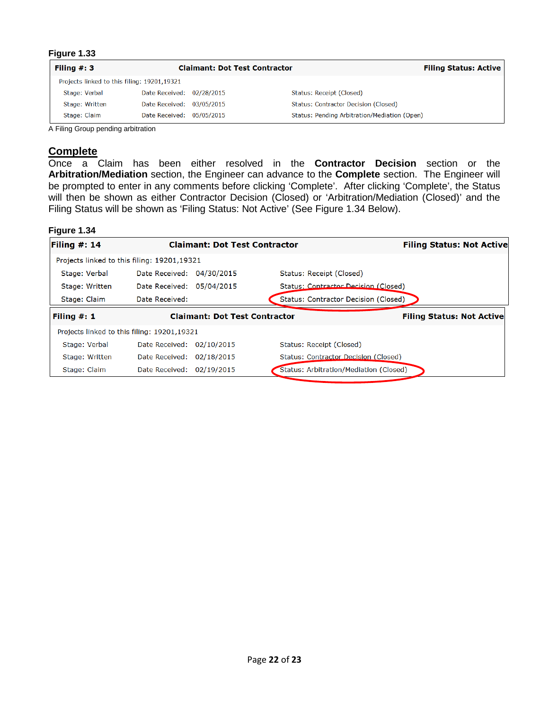| Filing $#: 3$                               |                           | <b>Claimant: Dot Test Contractor</b> |                                              | <b>Filing Status: Active</b> |
|---------------------------------------------|---------------------------|--------------------------------------|----------------------------------------------|------------------------------|
| Projects linked to this filing: 19201,19321 |                           |                                      |                                              |                              |
| Stage: Verbal                               | Date Received: 02/28/2015 |                                      | Status: Receipt (Closed)                     |                              |
| Stage: Written                              | Date Received: 03/05/2015 |                                      | Status: Contractor Decision (Closed)         |                              |
| Stage: Claim                                | Date Received: 05/05/2015 |                                      | Status: Pending Arbitration/Mediation (Open) |                              |

A Filing Group pending arbitration

### **Complete**

Once a Claim has been either resolved in the **Contractor Decision** section or the **Arbitration/Mediation** section, the Engineer can advance to the **Complete** section. The Engineer will be prompted to enter in any comments before clicking 'Complete'. After clicking 'Complete', the Status will then be shown as either Contractor Decision (Closed) or 'Arbitration/Mediation (Closed)' and the Filing Status will be shown as 'Filing Status: Not Active' (See Figure 1.34 Below).

#### **Figure 1.34**

| Filing #: 14   |                                             | <b>Claimant: Dot Test Contractor</b> |                                        | <b>Filing Status: Not Active</b> |
|----------------|---------------------------------------------|--------------------------------------|----------------------------------------|----------------------------------|
|                | Projects linked to this filing: 19201,19321 |                                      |                                        |                                  |
| Stage: Verbal  | Date Received: 04/30/2015                   |                                      | Status: Receipt (Closed)               |                                  |
| Stage: Written | Date Received: 05/04/2015                   |                                      | Status: Contractor Decision (Closed)   |                                  |
| Stage: Claim   | Date Received:                              |                                      | Status: Contractor Decision (Closed)   |                                  |
| Filing $#: 1$  |                                             | <b>Claimant: Dot Test Contractor</b> |                                        | <b>Filing Status: Not Active</b> |
|                | Projects linked to this filing: 19201,19321 |                                      |                                        |                                  |
| Stage: Verbal  | Date Received: 02/10/2015                   |                                      | Status: Receipt (Closed)               |                                  |
| Stage: Written | Date Received: 02/18/2015                   |                                      | Status: Contractor Decision (Closed)   |                                  |
| Stage: Claim   | Date Received: 02/19/2015                   |                                      | Status: Arbitration/Mediation (Closed) |                                  |